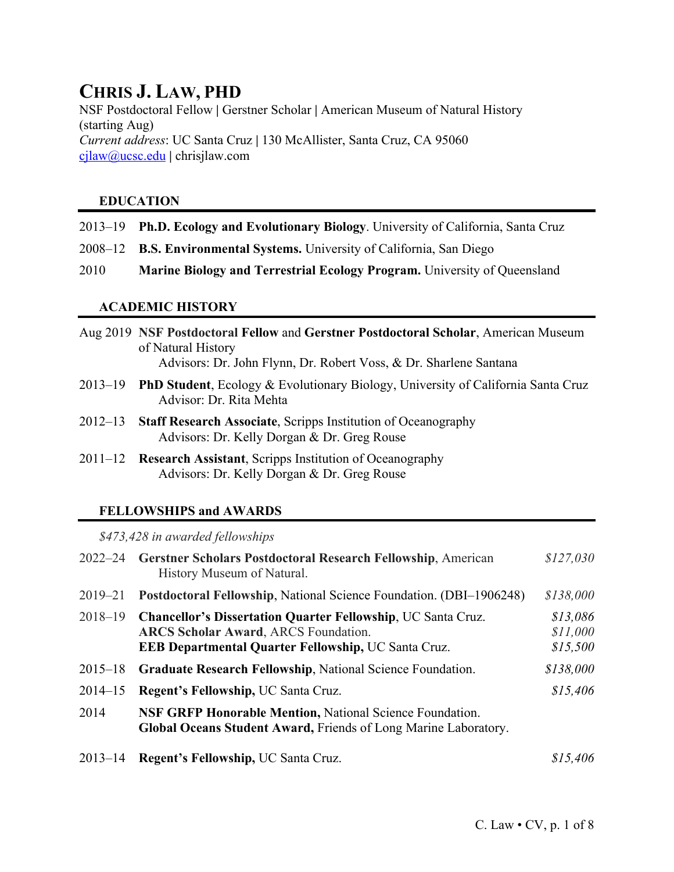# **CHRIS J. LAW, PHD**

NSF Postdoctoral Fellow **|** Gerstner Scholar **|** American Museum of Natural History (starting Aug) *Current address*: UC Santa Cruz **|** 130 McAllister, Santa Cruz, CA 95060 cjlaw@ucsc.edu **|** chrisjlaw.com

# **EDUCATION**

- 2013–19 **Ph.D. Ecology and Evolutionary Biology**. University of California, Santa Cruz
- 2008–12 **B.S. Environmental Systems.** University of California, San Diego
- 2010 **Marine Biology and Terrestrial Ecology Program.** University of Queensland

## **ACADEMIC HISTORY**

- Aug 2019 **NSF Postdoctoral Fellow** and **Gerstner Postdoctoral Scholar**, American Museum of Natural History Advisors: Dr. John Flynn, Dr. Robert Voss, & Dr. Sharlene Santana
- 2013–19 **PhD Student**, Ecology & Evolutionary Biology, University of California Santa Cruz Advisor: Dr. Rita Mehta
- 2012–13 **Staff Research Associate**, Scripps Institution of Oceanography Advisors: Dr. Kelly Dorgan & Dr. Greg Rouse
- 2011–12 **Research Assistant**, Scripps Institution of Oceanography Advisors: Dr. Kelly Dorgan & Dr. Greg Rouse

# **FELLOWSHIPS and AWARDS**

*\$473,428 in awarded fellowships*

| $2022 - 24$ | Gerstner Scholars Postdoctoral Research Fellowship, American<br>History Museum of Natural.                                                                                       | \$127,030                        |
|-------------|----------------------------------------------------------------------------------------------------------------------------------------------------------------------------------|----------------------------------|
| $2019 - 21$ | Postdoctoral Fellowship, National Science Foundation. (DBI-1906248)                                                                                                              | \$138,000                        |
| $2018 - 19$ | <b>Chancellor's Dissertation Quarter Fellowship, UC Santa Cruz.</b><br><b>ARCS Scholar Award, ARCS Foundation.</b><br><b>EEB Departmental Quarter Fellowship, UC Santa Cruz.</b> | \$13,086<br>\$11,000<br>\$15,500 |
| $2015 - 18$ | Graduate Research Fellowship, National Science Foundation.                                                                                                                       | \$138,000                        |
| $2014 - 15$ | Regent's Fellowship, UC Santa Cruz.                                                                                                                                              | \$15,406                         |
| 2014        | <b>NSF GRFP Honorable Mention, National Science Foundation.</b><br>Global Oceans Student Award, Friends of Long Marine Laboratory.                                               |                                  |
| $2013 - 14$ | Regent's Fellowship, UC Santa Cruz.                                                                                                                                              | \$15,406                         |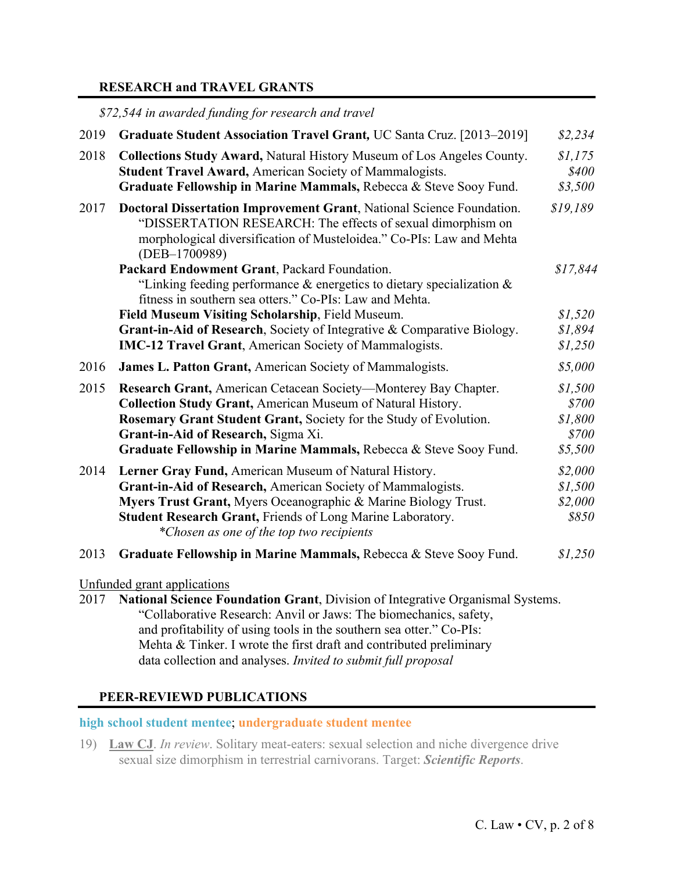#### **RESEARCH and TRAVEL GRANTS**

*\$72,544 in awarded funding for research and travel*

| 2019 | Graduate Student Association Travel Grant, UC Santa Cruz. [2013-2019]                                                                                                                                                                                                                                                  | \$2,234                                         |
|------|------------------------------------------------------------------------------------------------------------------------------------------------------------------------------------------------------------------------------------------------------------------------------------------------------------------------|-------------------------------------------------|
| 2018 | <b>Collections Study Award, Natural History Museum of Los Angeles County.</b><br><b>Student Travel Award, American Society of Mammalogists.</b><br>Graduate Fellowship in Marine Mammals, Rebecca & Steve Sooy Fund.                                                                                                   | \$1,175<br>\$400<br>\$3,500                     |
| 2017 | <b>Doctoral Dissertation Improvement Grant, National Science Foundation.</b><br>"DISSERTATION RESEARCH: The effects of sexual dimorphism on<br>morphological diversification of Musteloidea." Co-PIs: Law and Mehta<br>(DEB-1700989)                                                                                   | \$19,189                                        |
|      | Packard Endowment Grant, Packard Foundation.<br>"Linking feeding performance $\&$ energetics to dietary specialization $\&$<br>fitness in southern sea otters." Co-PIs: Law and Mehta.                                                                                                                                 | \$17,844                                        |
|      | Field Museum Visiting Scholarship, Field Museum.<br>Grant-in-Aid of Research, Society of Integrative & Comparative Biology.<br><b>IMC-12 Travel Grant</b> , American Society of Mammalogists.                                                                                                                          | \$1,520<br>\$1,894<br>\$1,250                   |
| 2016 | <b>James L. Patton Grant, American Society of Mammalogists.</b>                                                                                                                                                                                                                                                        | \$5,000                                         |
| 2015 | Research Grant, American Cetacean Society—Monterey Bay Chapter.<br><b>Collection Study Grant, American Museum of Natural History.</b><br>Rosemary Grant Student Grant, Society for the Study of Evolution.<br>Grant-in-Aid of Research, Sigma Xi.<br>Graduate Fellowship in Marine Mammals, Rebecca & Steve Sooy Fund. | \$1,500<br>\$700<br>\$1,800<br>\$700<br>\$5,500 |
| 2014 | Lerner Gray Fund, American Museum of Natural History.<br>Grant-in-Aid of Research, American Society of Mammalogists.<br>Myers Trust Grant, Myers Oceanographic & Marine Biology Trust.<br>Student Research Grant, Friends of Long Marine Laboratory.<br>*Chosen as one of the top two recipients                       | \$2,000<br>\$1,500<br>\$2,000<br>\$850          |
| 2013 | Graduate Fellowship in Marine Mammals, Rebecca & Steve Sooy Fund.                                                                                                                                                                                                                                                      | \$1,250                                         |
|      | Unfunded grant applications<br>2017 National Science Foundation Grant Division of Integrative Organismal Systems                                                                                                                                                                                                       |                                                 |

2017 **National Science Foundation Grant**, Division of Integrative Organismal Systems. "Collaborative Research: Anvil or Jaws: The biomechanics, safety, and profitability of using tools in the southern sea otter." Co-PIs: Mehta & Tinker. I wrote the first draft and contributed preliminary data collection and analyses. *Invited to submit full proposal*

#### **PEER-REVIEWD PUBLICATIONS**

**high school student mentee**; **undergraduate student mentee**

19) **Law CJ**. *In review*. Solitary meat-eaters: sexual selection and niche divergence drive sexual size dimorphism in terrestrial carnivorans. Target: *Scientific Reports*.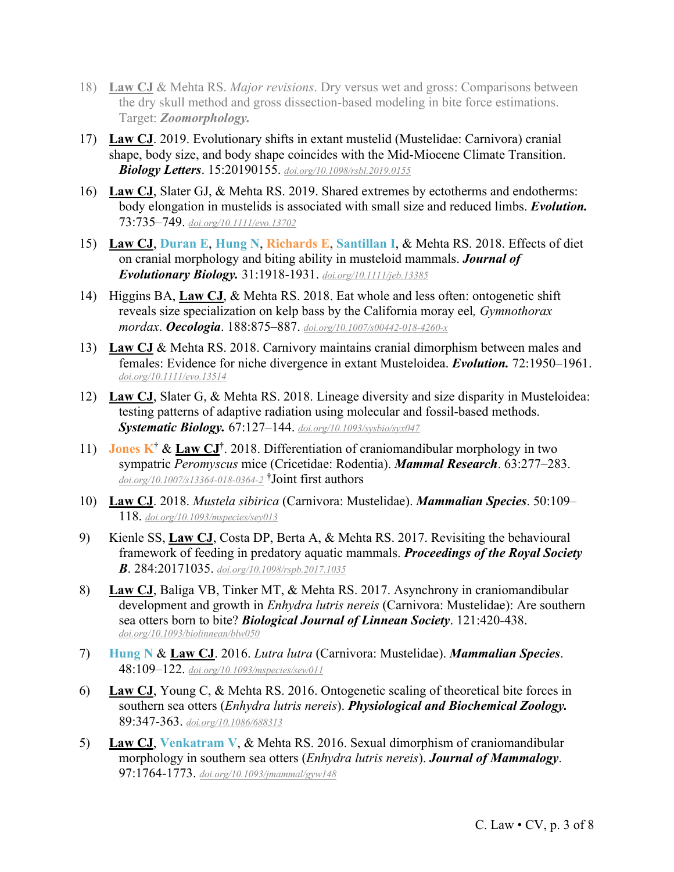- 18) **Law CJ** & Mehta RS. *Major revisions*. Dry versus wet and gross: Comparisons between the dry skull method and gross dissection-based modeling in bite force estimations. Target: *Zoomorphology.*
- 17) **Law CJ**. 2019. Evolutionary shifts in extant mustelid (Mustelidae: Carnivora) cranial shape, body size, and body shape coincides with the Mid-Miocene Climate Transition. *Biology Letters*. 15:20190155. *doi.org/10.1098/rsbl.2019.0155*
- 16) **Law CJ**, Slater GJ, & Mehta RS. 2019. Shared extremes by ectotherms and endotherms: body elongation in mustelids is associated with small size and reduced limbs. *Evolution.* 73:735–749. *doi.org/10.1111/evo.13702*
- 15) **Law CJ**, **Duran E**, **Hung N**, **Richards E**, **Santillan I**, & Mehta RS. 2018. Effects of diet on cranial morphology and biting ability in musteloid mammals. *Journal of Evolutionary Biology.* 31:1918-1931. *doi.org/10.1111/jeb.13385*
- 14) Higgins BA, **Law CJ**, & Mehta RS. 2018. Eat whole and less often: ontogenetic shift reveals size specialization on kelp bass by the California moray eel*, Gymnothorax mordax*. *Oecologia*. 188:875–887. *doi.org/10.1007/s00442-018-4260-x*
- 13) **Law CJ** & Mehta RS. 2018. Carnivory maintains cranial dimorphism between males and females: Evidence for niche divergence in extant Musteloidea. *Evolution.* 72:1950–1961. *doi.org/10.1111/evo.13514*
- 12) **Law CJ**, Slater G, & Mehta RS. 2018. Lineage diversity and size disparity in Musteloidea: testing patterns of adaptive radiation using molecular and fossil-based methods. *Systematic Biology.* 67:127–144. *doi.org/10.1093/sysbio/syx047*
- 11) **Jones K<sup>†</sup> & <u>Law CJ</u><sup>†</sup>**. 2018. Differentiation of craniomandibular morphology in two sympatric *Peromyscus* mice (Cricetidae: Rodentia). *Mammal Research*. 63:277–283. *doi.org/10.1007/s13364-018-0364-2* † Joint first authors
- 10) **Law CJ**. 2018. *Mustela sibirica* (Carnivora: Mustelidae). *Mammalian Species*. 50:109– 118. *doi.org/10.1093/mspecies/sey013*
- 9) Kienle SS, **Law CJ**, Costa DP, Berta A, & Mehta RS. 2017. Revisiting the behavioural framework of feeding in predatory aquatic mammals. *Proceedings of the Royal Society B*. 284:20171035. *doi.org/10.1098/rspb.2017.1035*
- 8) **Law CJ**, Baliga VB, Tinker MT, & Mehta RS. 2017. Asynchrony in craniomandibular development and growth in *Enhydra lutris nereis* (Carnivora: Mustelidae): Are southern sea otters born to bite? *Biological Journal of Linnean Society*. 121:420-438. *doi.org/10.1093/biolinnean/blw050*
- 7) **Hung N** & **Law CJ**. 2016. *Lutra lutra* (Carnivora: Mustelidae). *Mammalian Species*. 48:109–122. *doi.org/10.1093/mspecies/sew011*
- 6) **Law CJ**, Young C, & Mehta RS. 2016. Ontogenetic scaling of theoretical bite forces in southern sea otters (*Enhydra lutris nereis*). *Physiological and Biochemical Zoology.*  89:347-363. *doi.org/10.1086/688313*
- 5) **Law CJ**, **Venkatram V**, & Mehta RS. 2016. Sexual dimorphism of craniomandibular morphology in southern sea otters (*Enhydra lutris nereis*). *Journal of Mammalogy*. 97:1764-1773. *doi.org/10.1093/jmammal/gyw148*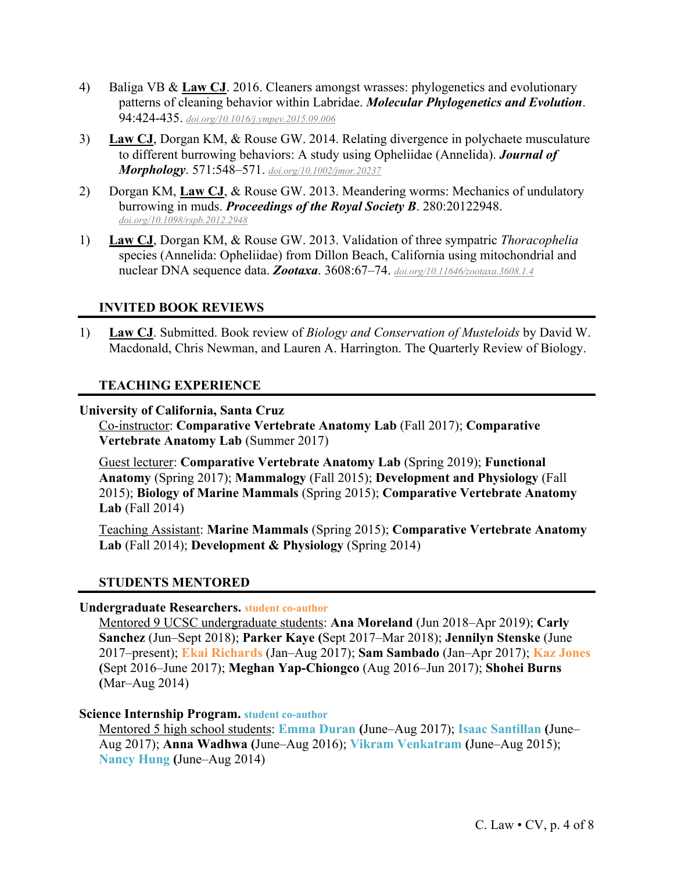- 4) Baliga VB & **Law CJ**. 2016. Cleaners amongst wrasses: phylogenetics and evolutionary patterns of cleaning behavior within Labridae. *Molecular Phylogenetics and Evolution*. 94:424-435. *doi.org/10.1016/j.ympev.2015.09.006*
- 3) **Law CJ**, Dorgan KM, & Rouse GW. 2014. Relating divergence in polychaete musculature to different burrowing behaviors: A study using Opheliidae (Annelida). *Journal of Morphology*. 571:548–571. *doi.org/10.1002/jmor.20237*
- 2) Dorgan KM, **Law CJ**, & Rouse GW. 2013. Meandering worms: Mechanics of undulatory burrowing in muds. *Proceedings of the Royal Society B*. 280:20122948. *doi.org/10.1098/rspb.2012.2948*
- 1) **Law CJ**, Dorgan KM, & Rouse GW. 2013. Validation of three sympatric *Thoracophelia* species (Annelida: Opheliidae) from Dillon Beach, California using mitochondrial and nuclear DNA sequence data. *Zootaxa*. 3608:67–74. *doi.org/10.11646/zootaxa.3608.1.4*

# **INVITED BOOK REVIEWS**

1) **Law CJ**. Submitted. Book review of *Biology and Conservation of Musteloids* by David W. Macdonald, Chris Newman, and Lauren A. Harrington. The Quarterly Review of Biology.

# **TEACHING EXPERIENCE**

#### **University of California, Santa Cruz**

Co-instructor: **Comparative Vertebrate Anatomy Lab** (Fall 2017); **Comparative Vertebrate Anatomy Lab** (Summer 2017)

Guest lecturer: **Comparative Vertebrate Anatomy Lab** (Spring 2019); **Functional Anatomy** (Spring 2017); **Mammalogy** (Fall 2015); **Development and Physiology** (Fall 2015); **Biology of Marine Mammals** (Spring 2015); **Comparative Vertebrate Anatomy Lab** (Fall 2014)

Teaching Assistant: **Marine Mammals** (Spring 2015); **Comparative Vertebrate Anatomy Lab** (Fall 2014); **Development & Physiology** (Spring 2014)

## **STUDENTS MENTORED**

#### **Undergraduate Researchers. student co-author**

Mentored 9 UCSC undergraduate students: **Ana Moreland** (Jun 2018–Apr 2019); **Carly Sanchez** (Jun–Sept 2018); **Parker Kaye (**Sept 2017–Mar 2018); **Jennilyn Stenske** (June 2017–present); **Ekai Richards** (Jan–Aug 2017); **Sam Sambado** (Jan–Apr 2017); **Kaz Jones (**Sept 2016–June 2017); **Meghan Yap-Chiongco** (Aug 2016–Jun 2017); **Shohei Burns (**Mar–Aug 2014)

#### **Science Internship Program. student co-author**

Mentored 5 high school students: **Emma Duran (**June–Aug 2017); **Isaac Santillan (**June– Aug 2017); **Anna Wadhwa (**June–Aug 2016); **Vikram Venkatram (**June–Aug 2015); **Nancy Hung (**June–Aug 2014)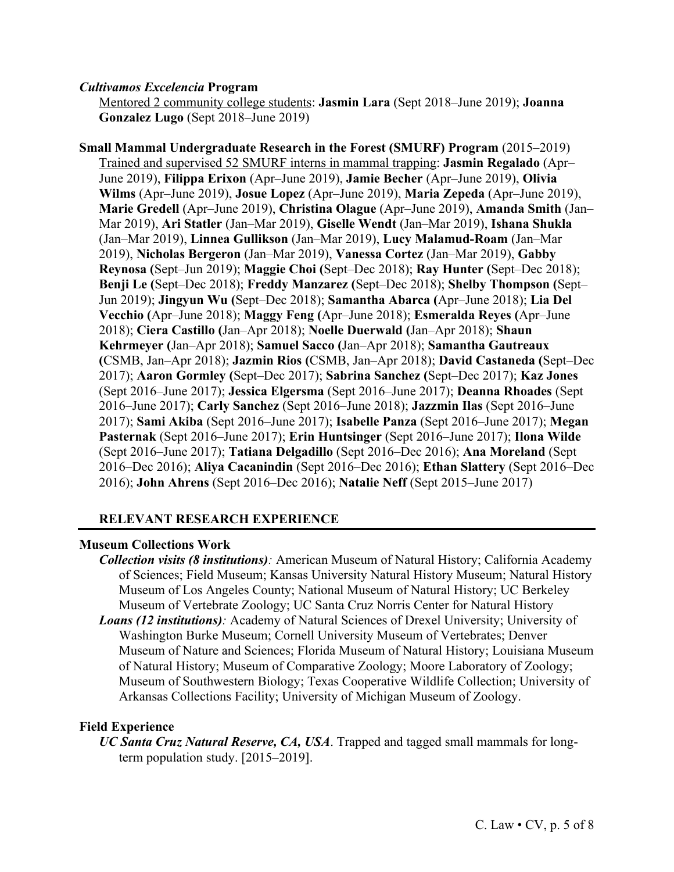#### *Cultivamos Excelencia* **Program**

Mentored 2 community college students: **Jasmin Lara** (Sept 2018–June 2019); **Joanna Gonzalez Lugo** (Sept 2018–June 2019)

**Small Mammal Undergraduate Research in the Forest (SMURF) Program** (2015–2019) Trained and supervised 52 SMURF interns in mammal trapping: **Jasmin Regalado** (Apr– June 2019), **Filippa Erixon** (Apr–June 2019), **Jamie Becher** (Apr–June 2019), **Olivia Wilms** (Apr–June 2019), **Josue Lopez** (Apr–June 2019), **Maria Zepeda** (Apr–June 2019), **Marie Gredell** (Apr–June 2019), **Christina Olague** (Apr–June 2019), **Amanda Smith** (Jan– Mar 2019), **Ari Statler** (Jan–Mar 2019), **Giselle Wendt** (Jan–Mar 2019), **Ishana Shukla** (Jan–Mar 2019), **Linnea Gullikson** (Jan–Mar 2019), **Lucy Malamud-Roam** (Jan–Mar 2019), **Nicholas Bergeron** (Jan–Mar 2019), **Vanessa Cortez** (Jan–Mar 2019), **Gabby Reynosa (**Sept–Jun 2019); **Maggie Choi (**Sept–Dec 2018); **Ray Hunter (**Sept–Dec 2018); **Benji Le (**Sept–Dec 2018); **Freddy Manzarez (**Sept–Dec 2018); **Shelby Thompson (**Sept– Jun 2019); **Jingyun Wu (**Sept–Dec 2018); **Samantha Abarca (**Apr–June 2018); **Lia Del Vecchio (**Apr–June 2018); **Maggy Feng (**Apr–June 2018); **Esmeralda Reyes (**Apr–June 2018); **Ciera Castillo (**Jan–Apr 2018); **Noelle Duerwald (**Jan–Apr 2018); **Shaun Kehrmeyer (**Jan–Apr 2018); **Samuel Sacco (**Jan–Apr 2018); **Samantha Gautreaux (**CSMB, Jan–Apr 2018); **Jazmin Rios (**CSMB, Jan–Apr 2018); **David Castaneda (**Sept–Dec 2017); **Aaron Gormley (**Sept–Dec 2017); **Sabrina Sanchez (**Sept–Dec 2017); **Kaz Jones** (Sept 2016–June 2017); **Jessica Elgersma** (Sept 2016–June 2017); **Deanna Rhoades** (Sept 2016–June 2017); **Carly Sanchez** (Sept 2016–June 2018); **Jazzmin Ilas** (Sept 2016–June 2017); **Sami Akiba** (Sept 2016–June 2017); **Isabelle Panza** (Sept 2016–June 2017); **Megan Pasternak** (Sept 2016–June 2017); **Erin Huntsinger** (Sept 2016–June 2017); **Ilona Wilde** (Sept 2016–June 2017); **Tatiana Delgadillo** (Sept 2016–Dec 2016); **Ana Moreland** (Sept 2016–Dec 2016); **Aliya Cacanindin** (Sept 2016–Dec 2016); **Ethan Slattery** (Sept 2016–Dec 2016); **John Ahrens** (Sept 2016–Dec 2016); **Natalie Neff** (Sept 2015–June 2017)

## **RELEVANT RESEARCH EXPERIENCE**

## **Museum Collections Work**

- *Collection visits (8 institutions):* American Museum of Natural History; California Academy of Sciences; Field Museum; Kansas University Natural History Museum; Natural History Museum of Los Angeles County; National Museum of Natural History; UC Berkeley Museum of Vertebrate Zoology; UC Santa Cruz Norris Center for Natural History
- *Loans (12 institutions):* Academy of Natural Sciences of Drexel University; University of Washington Burke Museum; Cornell University Museum of Vertebrates; Denver Museum of Nature and Sciences; Florida Museum of Natural History; Louisiana Museum of Natural History; Museum of Comparative Zoology; Moore Laboratory of Zoology; Museum of Southwestern Biology; Texas Cooperative Wildlife Collection; University of Arkansas Collections Facility; University of Michigan Museum of Zoology.

## **Field Experience**

*UC Santa Cruz Natural Reserve, CA, USA*. Trapped and tagged small mammals for longterm population study. [2015–2019].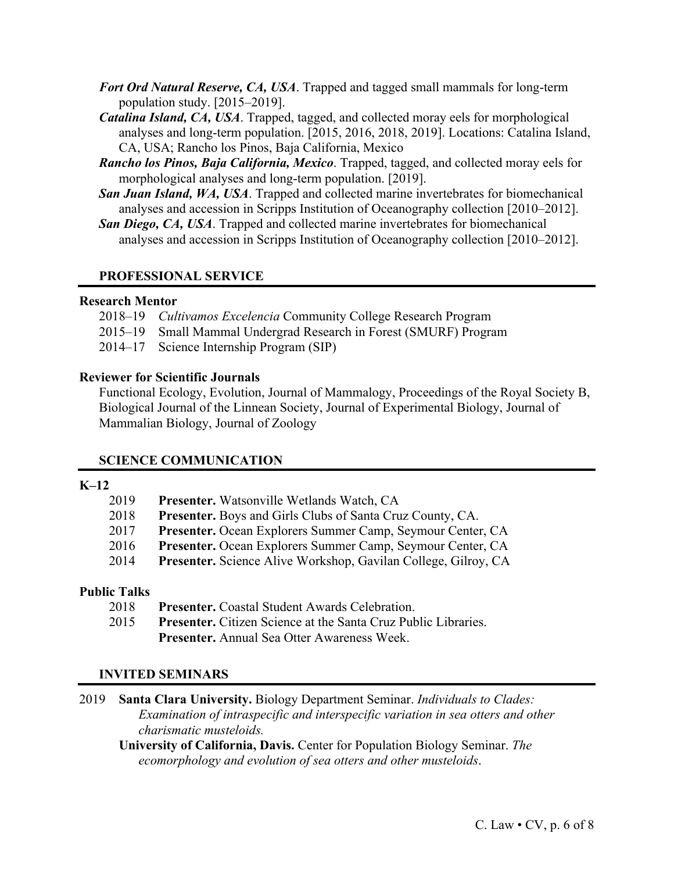- *Fort Ord Natural Reserve, CA, USA*. Trapped and tagged small mammals for long-term population study. [2015–2019].
- *Catalina Island, CA, USA*. Trapped, tagged, and collected moray eels for morphological analyses and long-term population. [2015, 2016, 2018, 2019]. Locations: Catalina Island, CA, USA; Rancho los Pinos, Baja California, Mexico
- *Rancho los Pinos, Baja California, Mexico*. Trapped, tagged, and collected moray eels for morphological analyses and long-term population. [2019].
- *San Juan Island, WA, USA*. Trapped and collected marine invertebrates for biomechanical analyses and accession in Scripps Institution of Oceanography collection [2010–2012].
- *San Diego, CA, USA*. Trapped and collected marine invertebrates for biomechanical analyses and accession in Scripps Institution of Oceanography collection [2010–2012].

# **PROFESSIONAL SERVICE**

#### **Research Mentor**

- 2018–19 *Cultivamos Excelencia* Community College Research Program
- 2015–19 Small Mammal Undergrad Research in Forest (SMURF) Program
- 2014–17 Science Internship Program (SIP)

## **Reviewer for Scientific Journals**

Functional Ecology, Evolution, Journal of Mammalogy, Proceedings of the Royal Society B, Biological Journal of the Linnean Society, Journal of Experimental Biology, Journal of Mammalian Biology, Journal of Zoology

## **SCIENCE COMMUNICATION**

# **K–12**

| 2019 | Presenter. Watsonville Wetlands Watch, CA                             |
|------|-----------------------------------------------------------------------|
| 2018 | <b>Presenter.</b> Boys and Girls Clubs of Santa Cruz County, CA.      |
| 2017 | Presenter. Ocean Explorers Summer Camp, Seymour Center, CA            |
| 2016 | Presenter. Ocean Explorers Summer Camp, Seymour Center, CA            |
| 2014 | <b>Presenter.</b> Science Alive Workshop, Gavilan College, Gilroy, CA |

## **Public Talks**

2018 **Presenter.** Coastal Student Awards Celebration. 2015 **Presenter.** Citizen Science at the Santa Cruz Public Libraries. **Presenter.** Annual Sea Otter Awareness Week.

## **INVITED SEMINARS**

2019 **Santa Clara University.** Biology Department Seminar. *Individuals to Clades: Examination of intraspecific and interspecific variation in sea otters and other charismatic musteloids.* 

**University of California, Davis.** Center for Population Biology Seminar. *The ecomorphology and evolution of sea otters and other musteloids*.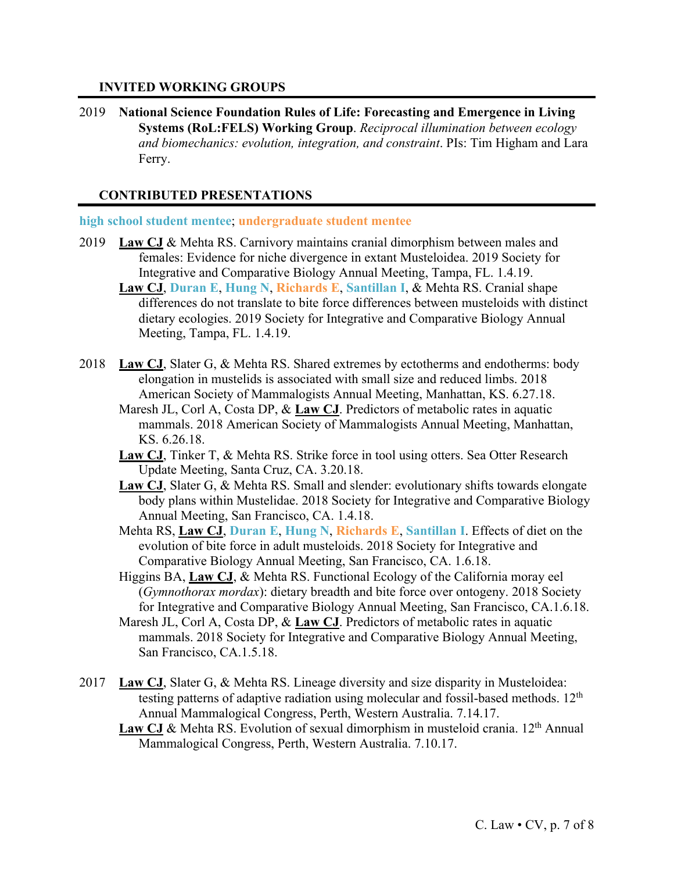#### **INVITED WORKING GROUPS**

2019 **National Science Foundation Rules of Life: Forecasting and Emergence in Living Systems (RoL:FELS) Working Group**. *Reciprocal illumination between ecology and biomechanics: evolution, integration, and constraint*. PIs: Tim Higham and Lara Ferry.

## **CONTRIBUTED PRESENTATIONS**

#### **high school student mentee**; **undergraduate student mentee**

- 2019 **Law CJ** & Mehta RS. Carnivory maintains cranial dimorphism between males and females: Evidence for niche divergence in extant Musteloidea. 2019 Society for Integrative and Comparative Biology Annual Meeting, Tampa, FL. 1.4.19.
	- **Law CJ**, **Duran E**, **Hung N**, **Richards E**, **Santillan I**, & Mehta RS. Cranial shape differences do not translate to bite force differences between musteloids with distinct dietary ecologies. 2019 Society for Integrative and Comparative Biology Annual Meeting, Tampa, FL. 1.4.19.
- 2018 **Law CJ**, Slater G, & Mehta RS. Shared extremes by ectotherms and endotherms: body elongation in mustelids is associated with small size and reduced limbs. 2018 American Society of Mammalogists Annual Meeting, Manhattan, KS. 6.27.18.
	- Maresh JL, Corl A, Costa DP, & **Law CJ**. Predictors of metabolic rates in aquatic mammals. 2018 American Society of Mammalogists Annual Meeting, Manhattan, KS. 6.26.18.
	- **Law CJ**, Tinker T, & Mehta RS. Strike force in tool using otters. Sea Otter Research Update Meeting, Santa Cruz, CA. 3.20.18.
	- **Law CJ**, Slater G, & Mehta RS. Small and slender: evolutionary shifts towards elongate body plans within Mustelidae. 2018 Society for Integrative and Comparative Biology Annual Meeting, San Francisco, CA. 1.4.18.
	- Mehta RS, **Law CJ**, **Duran E**, **Hung N**, **Richards E**, **Santillan I**. Effects of diet on the evolution of bite force in adult musteloids. 2018 Society for Integrative and Comparative Biology Annual Meeting, San Francisco, CA. 1.6.18.
	- Higgins BA, **Law CJ**, & Mehta RS. Functional Ecology of the California moray eel (*Gymnothorax mordax*): dietary breadth and bite force over ontogeny. 2018 Society for Integrative and Comparative Biology Annual Meeting, San Francisco, CA.1.6.18.
	- Maresh JL, Corl A, Costa DP, & **Law CJ**. Predictors of metabolic rates in aquatic mammals. 2018 Society for Integrative and Comparative Biology Annual Meeting, San Francisco, CA.1.5.18.
- 2017 **Law CJ**, Slater G, & Mehta RS. Lineage diversity and size disparity in Musteloidea: testing patterns of adaptive radiation using molecular and fossil-based methods.  $12<sup>th</sup>$ Annual Mammalogical Congress, Perth, Western Australia. 7.14.17.
	- Law CJ & Mehta RS. Evolution of sexual dimorphism in musteloid crania. 12<sup>th</sup> Annual Mammalogical Congress, Perth, Western Australia. 7.10.17.